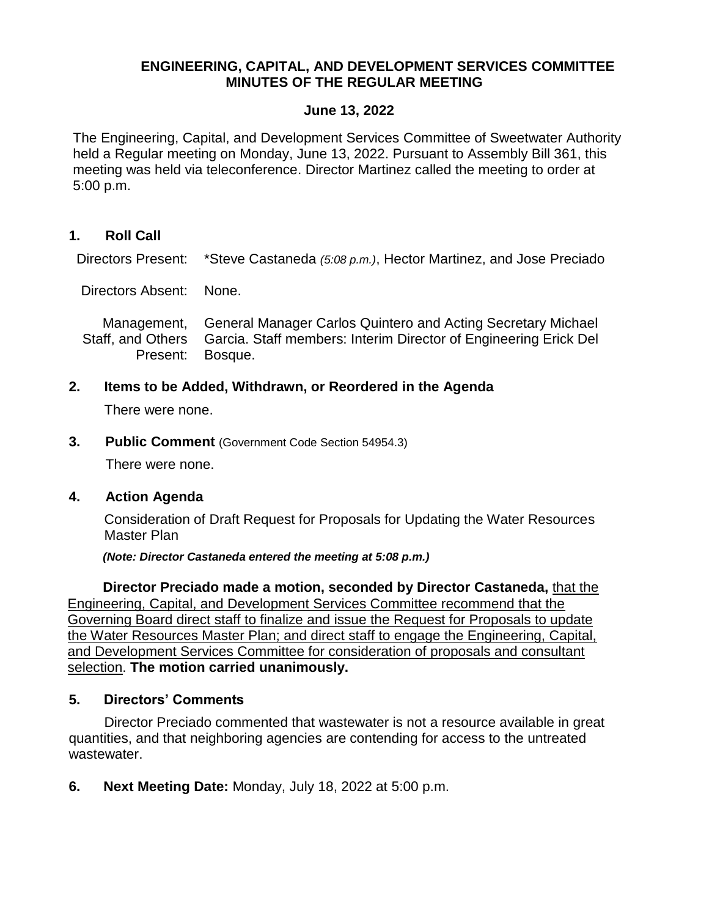## **ENGINEERING, CAPITAL, AND DEVELOPMENT SERVICES COMMITTEE MINUTES OF THE REGULAR MEETING**

## **June 13, 2022**

The Engineering, Capital, and Development Services Committee of Sweetwater Authority held a Regular meeting on Monday, June 13, 2022. Pursuant to Assembly Bill 361, this meeting was held via teleconference. Director Martinez called the meeting to order at 5:00 p.m.

**1. Roll Call**

Directors Present: \*Steve Castaneda *(5:08 p.m.)*, Hector Martinez, and Jose Preciado

Directors Absent: None.

Management, Staff, and Others Present: General Manager Carlos Quintero and Acting Secretary Michael Garcia. Staff members: Interim Director of Engineering Erick Del Bosque.

**2. Items to be Added, Withdrawn, or Reordered in the Agenda**

There were none.

**3. Public Comment** (Government Code Section 54954.3)

There were none.

**4. Action Agenda** 

Consideration of Draft Request for Proposals for Updating the Water Resources Master Plan

*(Note: Director Castaneda entered the meeting at 5:08 p.m.)*

**Director Preciado made a motion, seconded by Director Castaneda,** that the Engineering, Capital, and Development Services Committee recommend that the Governing Board direct staff to finalize and issue the Request for Proposals to update the Water Resources Master Plan; and direct staff to engage the Engineering, Capital, and Development Services Committee for consideration of proposals and consultant selection. **The motion carried unanimously.**

## **5. Directors' Comments**

Director Preciado commented that wastewater is not a resource available in great quantities, and that neighboring agencies are contending for access to the untreated wastewater.

**6. Next Meeting Date:** Monday, July 18, 2022 at 5:00 p.m.